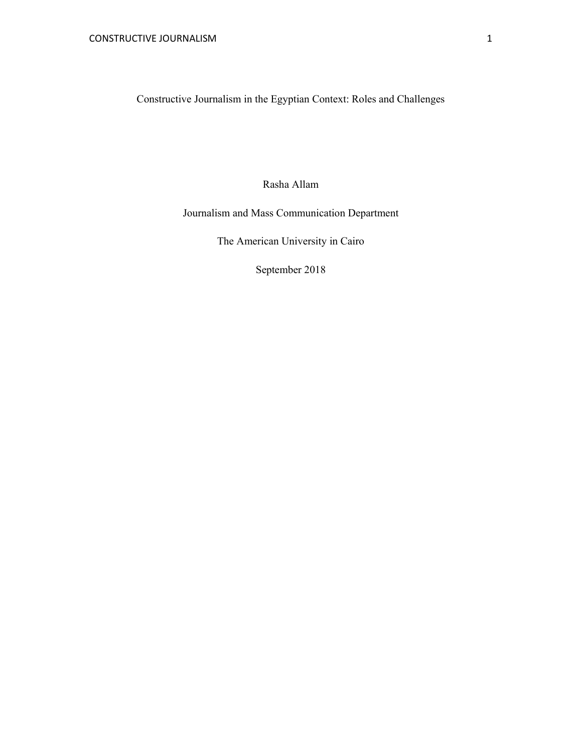Constructive Journalism in the Egyptian Context: Roles and Challenges

Rasha Allam

Journalism and Mass Communication Department

The American University in Cairo

September 2018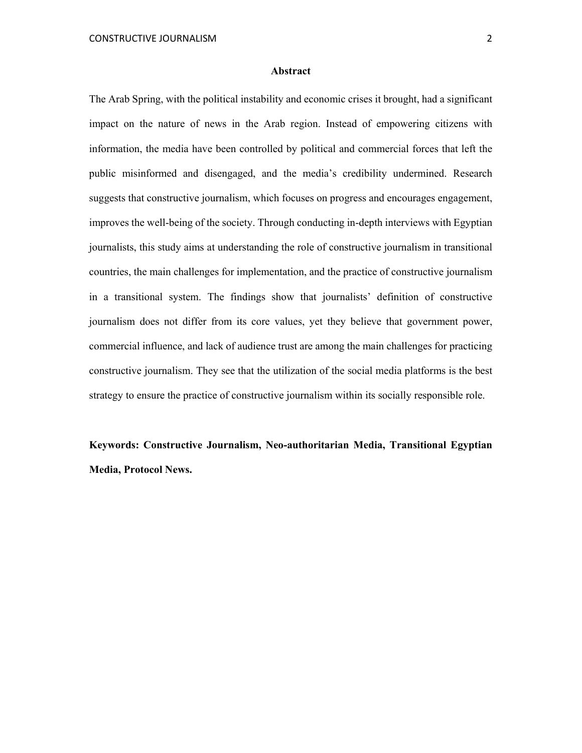#### **Abstract**

The Arab Spring, with the political instability and economic crises it brought, had a significant impact on the nature of news in the Arab region. Instead of empowering citizens with information, the media have been controlled by political and commercial forces that left the public misinformed and disengaged, and the media's credibility undermined. Research suggests that constructive journalism, which focuses on progress and encourages engagement, improves the well-being of the society. Through conducting in-depth interviews with Egyptian journalists, this study aims at understanding the role of constructive journalism in transitional countries, the main challenges for implementation, and the practice of constructive journalism in a transitional system. The findings show that journalists' definition of constructive journalism does not differ from its core values, yet they believe that government power, commercial influence, and lack of audience trust are among the main challenges for practicing constructive journalism. They see that the utilization of the social media platforms is the best strategy to ensure the practice of constructive journalism within its socially responsible role.

**Keywords: Constructive Journalism, Neo-authoritarian Media, Transitional Egyptian Media, Protocol News.**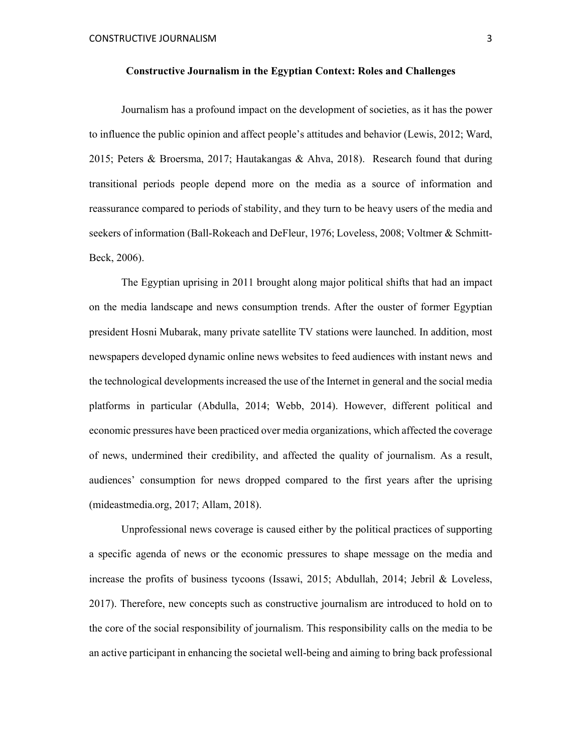#### **Constructive Journalism in the Egyptian Context: Roles and Challenges**

 Journalism has a profound impact on the development of societies, as it has the power to influence the public opinion and affect people's attitudes and behavior (Lewis, 2012; Ward, 2015; Peters & Broersma, 2017; Hautakangas & Ahva, 2018). Research found that during transitional periods people depend more on the media as a source of information and reassurance compared to periods of stability, and they turn to be heavy users of the media and seekers of information (Ball-Rokeach and DeFleur, 1976; Loveless, 2008; Voltmer & Schmitt-Beck, 2006).

The Egyptian uprising in 2011 brought along major political shifts that had an impact on the media landscape and news consumption trends. After the ouster of former Egyptian president Hosni Mubarak, many private satellite TV stations were launched. In addition, most newspapers developed dynamic online news websites to feed audiences with instant news and the technological developments increased the use of the Internet in general and the social media platforms in particular (Abdulla, 2014; Webb, 2014). However, different political and economic pressures have been practiced over media organizations, which affected the coverage of news, undermined their credibility, and affected the quality of journalism. As a result, audiences' consumption for news dropped compared to the first years after the uprising (mideastmedia.org, 2017; Allam, 2018).

Unprofessional news coverage is caused either by the political practices of supporting a specific agenda of news or the economic pressures to shape message on the media and increase the profits of business tycoons (Issawi, 2015; Abdullah, 2014; Jebril & Loveless, 2017). Therefore, new concepts such as constructive journalism are introduced to hold on to the core of the social responsibility of journalism. This responsibility calls on the media to be an active participant in enhancing the societal well-being and aiming to bring back professional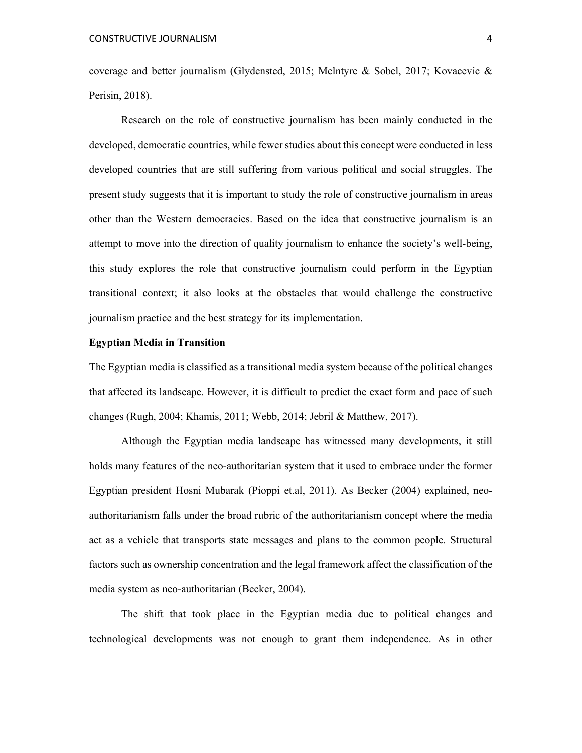coverage and better journalism (Glydensted, 2015; Mclntyre & Sobel, 2017; Kovacevic & Perisin, 2018).

Research on the role of constructive journalism has been mainly conducted in the developed, democratic countries, while fewer studies about this concept were conducted in less developed countries that are still suffering from various political and social struggles. The present study suggests that it is important to study the role of constructive journalism in areas other than the Western democracies. Based on the idea that constructive journalism is an attempt to move into the direction of quality journalism to enhance the society's well-being, this study explores the role that constructive journalism could perform in the Egyptian transitional context; it also looks at the obstacles that would challenge the constructive journalism practice and the best strategy for its implementation.

#### **Egyptian Media in Transition**

The Egyptian media is classified as a transitional media system because of the political changes that affected its landscape. However, it is difficult to predict the exact form and pace of such changes (Rugh, 2004; Khamis, 2011; Webb, 2014; Jebril & Matthew, 2017).

Although the Egyptian media landscape has witnessed many developments, it still holds many features of the neo-authoritarian system that it used to embrace under the former Egyptian president Hosni Mubarak (Pioppi et.al, 2011). As Becker (2004) explained, neoauthoritarianism falls under the broad rubric of the authoritarianism concept where the media act as a vehicle that transports state messages and plans to the common people. Structural factors such as ownership concentration and the legal framework affect the classification of the media system as neo-authoritarian (Becker, 2004).

The shift that took place in the Egyptian media due to political changes and technological developments was not enough to grant them independence. As in other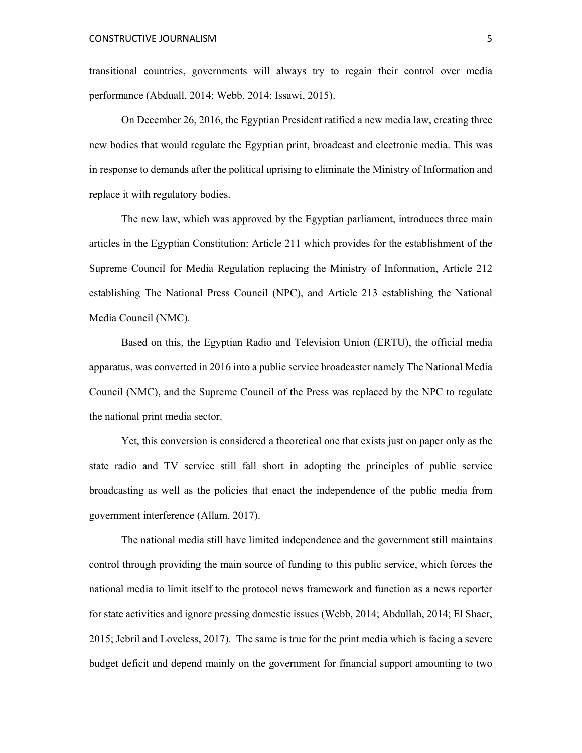transitional countries, governments will always try to regain their control over media performance (Abduall, 2014; Webb, 2014; Issawi, 2015).

On December 26, 2016, the Egyptian President ratified a new media law, creating three new bodies that would regulate the Egyptian print, broadcast and electronic media. This was in response to demands after the political uprising to eliminate the Ministry of Information and replace it with regulatory bodies.

The new law, which was approved by the Egyptian parliament, introduces three main articles in the Egyptian Constitution: Article 211 which provides for the establishment of the Supreme Council for Media Regulation replacing the Ministry of Information, Article 212 establishing The National Press Council (NPC), and Article 213 establishing the National Media Council (NMC).

Based on this, the Egyptian Radio and Television Union (ERTU), the official media apparatus, was converted in 2016 into a public service broadcaster namely The National Media Council (NMC), and the Supreme Council of the Press was replaced by the NPC to regulate the national print media sector.

Yet, this conversion is considered a theoretical one that exists just on paper only as the state radio and TV service still fall short in adopting the principles of public service broadcasting as well as the policies that enact the independence of the public media from government interference (Allam, 2017).

The national media still have limited independence and the government still maintains control through providing the main source of funding to this public service, which forces the national media to limit itself to the protocol news framework and function as a news reporter for state activities and ignore pressing domestic issues (Webb, 2014; Abdullah, 2014; El Shaer, 2015; Jebril and Loveless, 2017). The same is true for the print media which is facing a severe budget deficit and depend mainly on the government for financial support amounting to two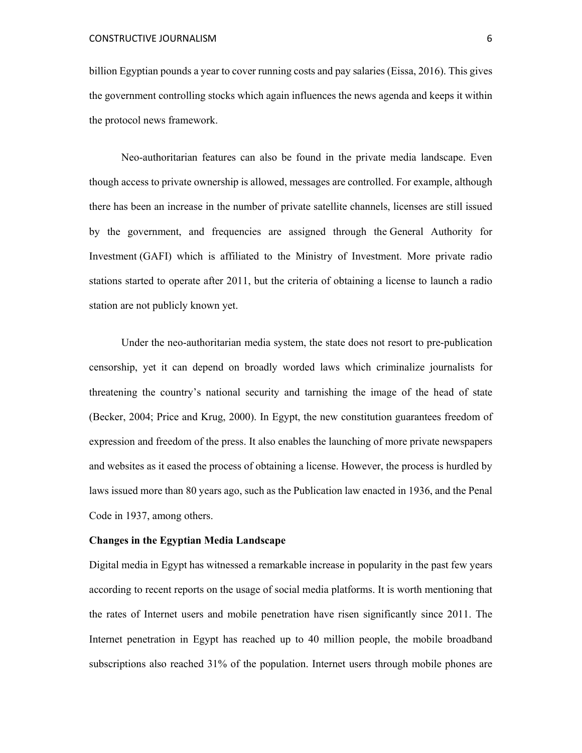billion Egyptian pounds a year to cover running costs and pay salaries (Eissa, 2016). This gives the government controlling stocks which again influences the news agenda and keeps it within the protocol news framework.

Neo-authoritarian features can also be found in the private media landscape. Even though access to private ownership is allowed, messages are controlled. For example, although there has been an increase in the number of private satellite channels, licenses are still issued by the government, and frequencies are assigned through the General Authority for Investment (GAFI) which is affiliated to the Ministry of Investment. More private radio stations started to operate after 2011, but the criteria of obtaining a license to launch a radio station are not publicly known yet.

Under the neo-authoritarian media system, the state does not resort to pre-publication censorship, yet it can depend on broadly worded laws which criminalize journalists for threatening the country's national security and tarnishing the image of the head of state (Becker, 2004; Price and Krug, 2000). In Egypt, the new constitution guarantees freedom of expression and freedom of the press. It also enables the launching of more private newspapers and websites as it eased the process of obtaining a license. However, the process is hurdled by laws issued more than 80 years ago, such as the Publication law enacted in 1936, and the Penal Code in 1937, among others.

# **Changes in the Egyptian Media Landscape**

Digital media in Egypt has witnessed a remarkable increase in popularity in the past few years according to recent reports on the usage of social media platforms. It is worth mentioning that the rates of Internet users and mobile penetration have risen significantly since 2011. The Internet penetration in Egypt has reached up to 40 million people, the mobile broadband subscriptions also reached 31% of the population. Internet users through mobile phones are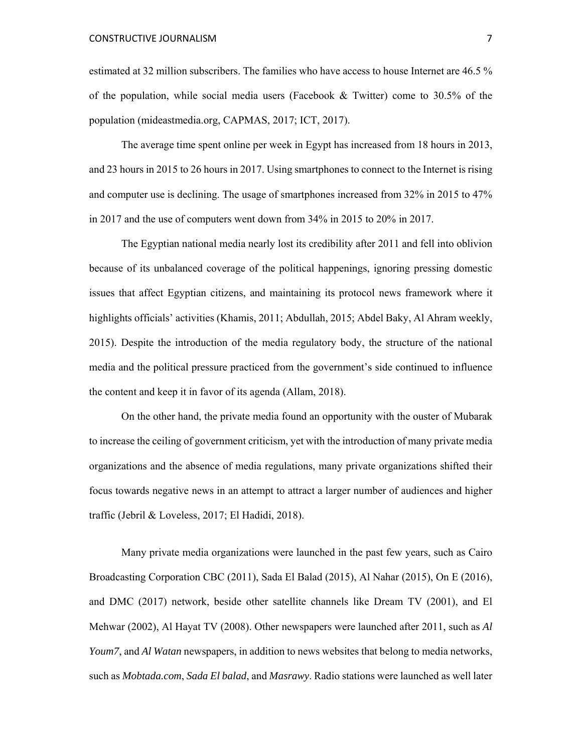estimated at 32 million subscribers. The families who have access to house Internet are 46.5 % of the population, while social media users (Facebook  $\&$  Twitter) come to 30.5% of the population (mideastmedia.org, CAPMAS, 2017; ICT, 2017).

The average time spent online per week in Egypt has increased from 18 hours in 2013, and 23 hours in 2015 to 26 hours in 2017. Using smartphones to connect to the Internet is rising and computer use is declining. The usage of smartphones increased from 32% in 2015 to 47% in 2017 and the use of computers went down from 34% in 2015 to 20% in 2017.

The Egyptian national media nearly lost its credibility after 2011 and fell into oblivion because of its unbalanced coverage of the political happenings, ignoring pressing domestic issues that affect Egyptian citizens, and maintaining its protocol news framework where it highlights officials' activities (Khamis, 2011; Abdullah, 2015; Abdel Baky, Al Ahram weekly, 2015). Despite the introduction of the media regulatory body, the structure of the national media and the political pressure practiced from the government's side continued to influence the content and keep it in favor of its agenda (Allam, 2018).

On the other hand, the private media found an opportunity with the ouster of Mubarak to increase the ceiling of government criticism, yet with the introduction of many private media organizations and the absence of media regulations, many private organizations shifted their focus towards negative news in an attempt to attract a larger number of audiences and higher traffic (Jebril & Loveless, 2017; El Hadidi, 2018).

 Many private media organizations were launched in the past few years, such as Cairo Broadcasting Corporation CBC (2011), Sada El Balad (2015), Al Nahar (2015), On E (2016), and DMC (2017) network, beside other satellite channels like Dream TV (2001), and El Mehwar (2002), Al Hayat TV (2008). Other newspapers were launched after 2011, such as *Al Youm7*, and *Al Watan* newspapers, in addition to news websites that belong to media networks, such as *Mobtada.com*, *Sada El balad*, and *Masrawy*. Radio stations were launched as well later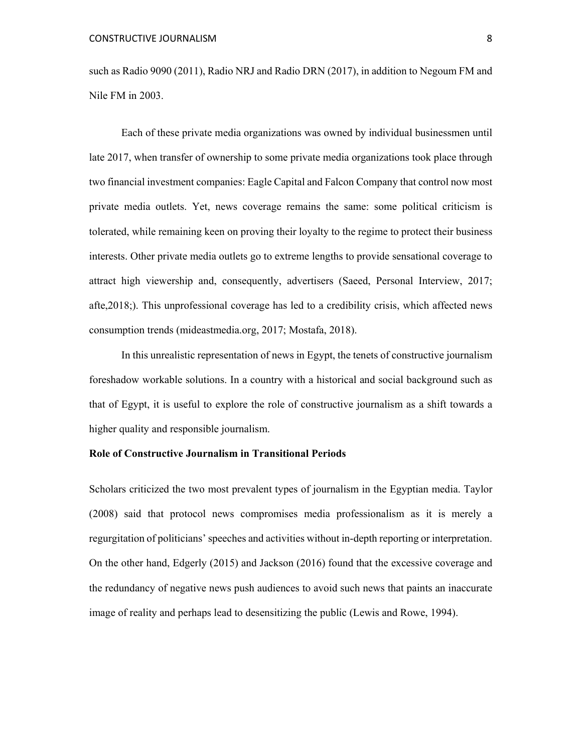such as Radio 9090 (2011), Radio NRJ and Radio DRN (2017), in addition to Negoum FM and Nile FM in 2003.

Each of these private media organizations was owned by individual businessmen until late 2017, when transfer of ownership to some private media organizations took place through two financial investment companies: Eagle Capital and Falcon Company that control now most private media outlets. Yet, news coverage remains the same: some political criticism is tolerated, while remaining keen on proving their loyalty to the regime to protect their business interests. Other private media outlets go to extreme lengths to provide sensational coverage to attract high viewership and, consequently, advertisers (Saeed, Personal Interview, 2017; afte,2018;). This unprofessional coverage has led to a credibility crisis, which affected news consumption trends (mideastmedia.org, 2017; Mostafa, 2018).

In this unrealistic representation of news in Egypt, the tenets of constructive journalism foreshadow workable solutions. In a country with a historical and social background such as that of Egypt, it is useful to explore the role of constructive journalism as a shift towards a higher quality and responsible journalism.

# **Role of Constructive Journalism in Transitional Periods**

Scholars criticized the two most prevalent types of journalism in the Egyptian media. Taylor (2008) said that protocol news compromises media professionalism as it is merely a regurgitation of politicians' speeches and activities without in-depth reporting or interpretation. On the other hand, Edgerly (2015) and Jackson (2016) found that the excessive coverage and the redundancy of negative news push audiences to avoid such news that paints an inaccurate image of reality and perhaps lead to desensitizing the public (Lewis and Rowe, 1994).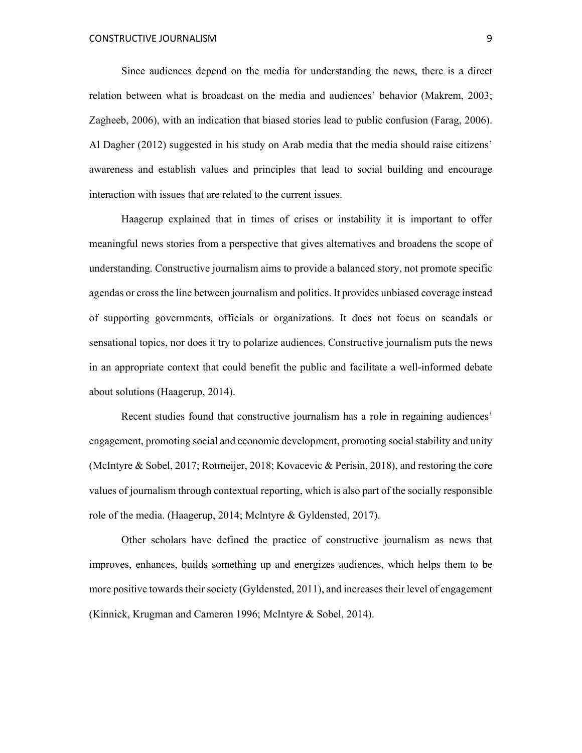Since audiences depend on the media for understanding the news, there is a direct relation between what is broadcast on the media and audiences' behavior (Makrem, 2003; Zagheeb, 2006), with an indication that biased stories lead to public confusion (Farag, 2006). Al Dagher (2012) suggested in his study on Arab media that the media should raise citizens' awareness and establish values and principles that lead to social building and encourage interaction with issues that are related to the current issues.

Haagerup explained that in times of crises or instability it is important to offer meaningful news stories from a perspective that gives alternatives and broadens the scope of understanding. Constructive journalism aims to provide a balanced story, not promote specific agendas or cross the line between journalism and politics. It provides unbiased coverage instead of supporting governments, officials or organizations. It does not focus on scandals or sensational topics, nor does it try to polarize audiences. Constructive journalism puts the news in an appropriate context that could benefit the public and facilitate a well-informed debate about solutions (Haagerup, 2014).

Recent studies found that constructive journalism has a role in regaining audiences' engagement, promoting social and economic development, promoting social stability and unity (McIntyre & Sobel, 2017; Rotmeijer, 2018; Kovacevic & Perisin, 2018), and restoring the core values of journalism through contextual reporting, which is also part of the socially responsible role of the media. (Haagerup, 2014; Mclntyre & Gyldensted, 2017).

Other scholars have defined the practice of constructive journalism as news that improves, enhances, builds something up and energizes audiences, which helps them to be more positive towards their society (Gyldensted, 2011), and increases their level of engagement (Kinnick, Krugman and Cameron 1996; McIntyre & Sobel, 2014).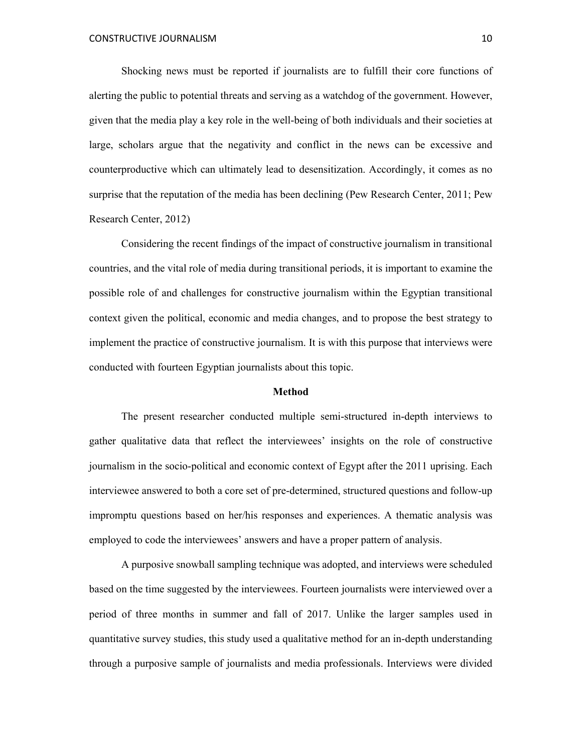Shocking news must be reported if journalists are to fulfill their core functions of alerting the public to potential threats and serving as a watchdog of the government. However, given that the media play a key role in the well-being of both individuals and their societies at large, scholars argue that the negativity and conflict in the news can be excessive and counterproductive which can ultimately lead to desensitization. Accordingly, it comes as no surprise that the reputation of the media has been declining (Pew Research Center, 2011; Pew Research Center, 2012)

Considering the recent findings of the impact of constructive journalism in transitional countries, and the vital role of media during transitional periods, it is important to examine the possible role of and challenges for constructive journalism within the Egyptian transitional context given the political, economic and media changes, and to propose the best strategy to implement the practice of constructive journalism. It is with this purpose that interviews were conducted with fourteen Egyptian journalists about this topic.

# **Method**

The present researcher conducted multiple semi-structured in-depth interviews to gather qualitative data that reflect the interviewees' insights on the role of constructive journalism in the socio-political and economic context of Egypt after the 2011 uprising. Each interviewee answered to both a core set of pre-determined, structured questions and follow-up impromptu questions based on her/his responses and experiences. A thematic analysis was employed to code the interviewees' answers and have a proper pattern of analysis.

A purposive snowball sampling technique was adopted, and interviews were scheduled based on the time suggested by the interviewees. Fourteen journalists were interviewed over a period of three months in summer and fall of 2017. Unlike the larger samples used in quantitative survey studies, this study used a qualitative method for an in-depth understanding through a purposive sample of journalists and media professionals. Interviews were divided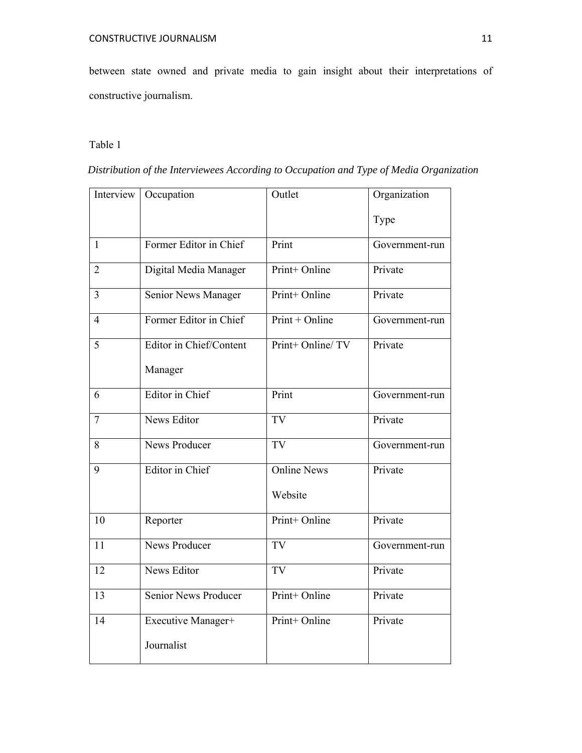between state owned and private media to gain insight about their interpretations of constructive journalism.

# Table 1

| Distribution of the Interviewees According to Occupation and Type of Media Organization |  |  |
|-----------------------------------------------------------------------------------------|--|--|
|                                                                                         |  |  |

| Interview      | Occupation                         | Outlet                        | Organization   |
|----------------|------------------------------------|-------------------------------|----------------|
|                |                                    |                               | Type           |
| $\mathbf{1}$   | Former Editor in Chief             | Print                         | Government-run |
| $\overline{2}$ | Digital Media Manager              | Print+ Online                 | Private        |
| $\overline{3}$ | Senior News Manager                | Print+ Online                 | Private        |
| $\overline{4}$ | Former Editor in Chief             | $Print + Online$              | Government-run |
| 5              | Editor in Chief/Content<br>Manager | Print+ Online/ TV             | Private        |
| 6              | Editor in Chief                    | Print                         | Government-run |
| $\overline{7}$ | <b>News Editor</b>                 | TV                            | Private        |
| 8              | News Producer                      | <b>TV</b>                     | Government-run |
| 9              | Editor in Chief                    | <b>Online News</b><br>Website | Private        |
| 10             | Reporter                           | Print+ Online                 | Private        |
| 11             | <b>News Producer</b>               | <b>TV</b>                     | Government-run |
| 12             | <b>News Editor</b>                 | TV                            | Private        |
| 13             | <b>Senior News Producer</b>        | Print+ Online                 | Private        |
| 14             | Executive Manager+<br>Journalist   | Print+ Online                 | Private        |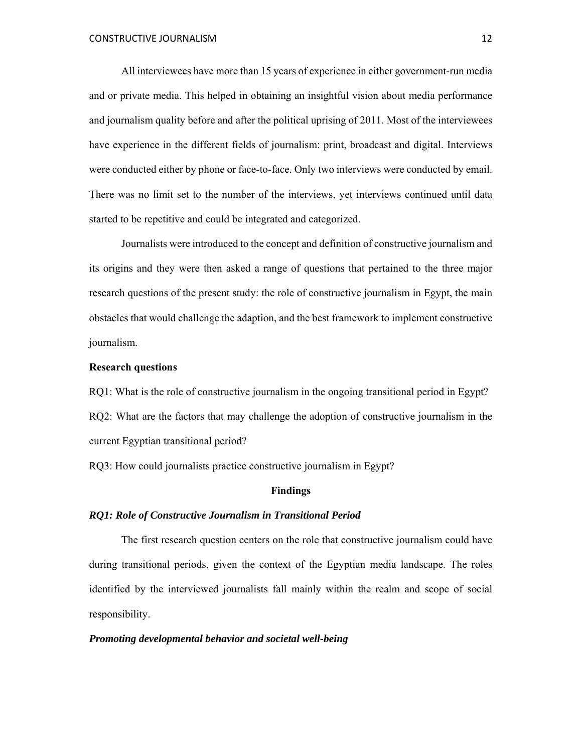All interviewees have more than 15 years of experience in either government-run media and or private media. This helped in obtaining an insightful vision about media performance and journalism quality before and after the political uprising of 2011. Most of the interviewees have experience in the different fields of journalism: print, broadcast and digital. Interviews were conducted either by phone or face-to-face. Only two interviews were conducted by email. There was no limit set to the number of the interviews, yet interviews continued until data started to be repetitive and could be integrated and categorized.

Journalists were introduced to the concept and definition of constructive journalism and its origins and they were then asked a range of questions that pertained to the three major research questions of the present study: the role of constructive journalism in Egypt, the main obstacles that would challenge the adaption, and the best framework to implement constructive journalism.

# **Research questions**

RQ1: What is the role of constructive journalism in the ongoing transitional period in Egypt? RQ2: What are the factors that may challenge the adoption of constructive journalism in the current Egyptian transitional period?

RQ3: How could journalists practice constructive journalism in Egypt?

#### **Findings**

#### *RQ1: Role of Constructive Journalism in Transitional Period*

The first research question centers on the role that constructive journalism could have during transitional periods, given the context of the Egyptian media landscape. The roles identified by the interviewed journalists fall mainly within the realm and scope of social responsibility.

#### *Promoting developmental behavior and societal well-being*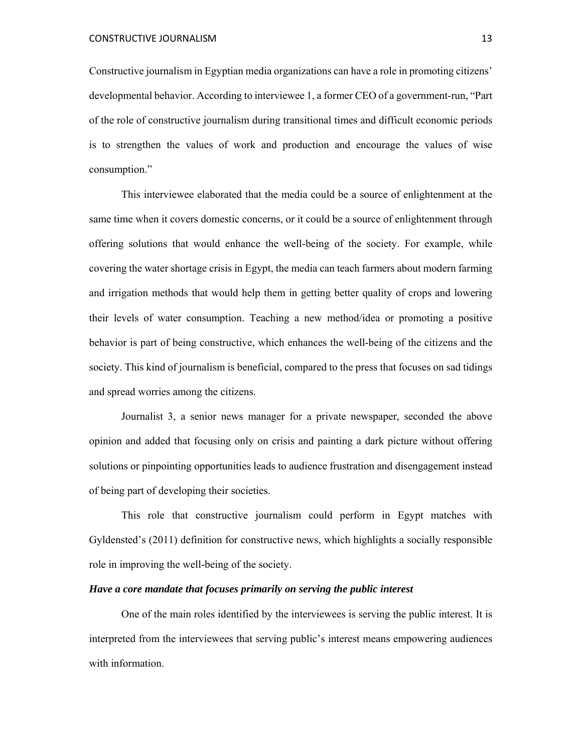Constructive journalism in Egyptian media organizations can have a role in promoting citizens' developmental behavior. According to interviewee 1, a former CEO of a government-run, "Part of the role of constructive journalism during transitional times and difficult economic periods is to strengthen the values of work and production and encourage the values of wise consumption."

This interviewee elaborated that the media could be a source of enlightenment at the same time when it covers domestic concerns, or it could be a source of enlightenment through offering solutions that would enhance the well-being of the society. For example, while covering the water shortage crisis in Egypt, the media can teach farmers about modern farming and irrigation methods that would help them in getting better quality of crops and lowering their levels of water consumption. Teaching a new method/idea or promoting a positive behavior is part of being constructive, which enhances the well-being of the citizens and the society. This kind of journalism is beneficial, compared to the press that focuses on sad tidings and spread worries among the citizens.

Journalist 3, a senior news manager for a private newspaper, seconded the above opinion and added that focusing only on crisis and painting a dark picture without offering solutions or pinpointing opportunities leads to audience frustration and disengagement instead of being part of developing their societies.

This role that constructive journalism could perform in Egypt matches with Gyldensted's (2011) definition for constructive news, which highlights a socially responsible role in improving the well-being of the society.

#### *Have a core mandate that focuses primarily on serving the public interest*

One of the main roles identified by the interviewees is serving the public interest. It is interpreted from the interviewees that serving public's interest means empowering audiences with information.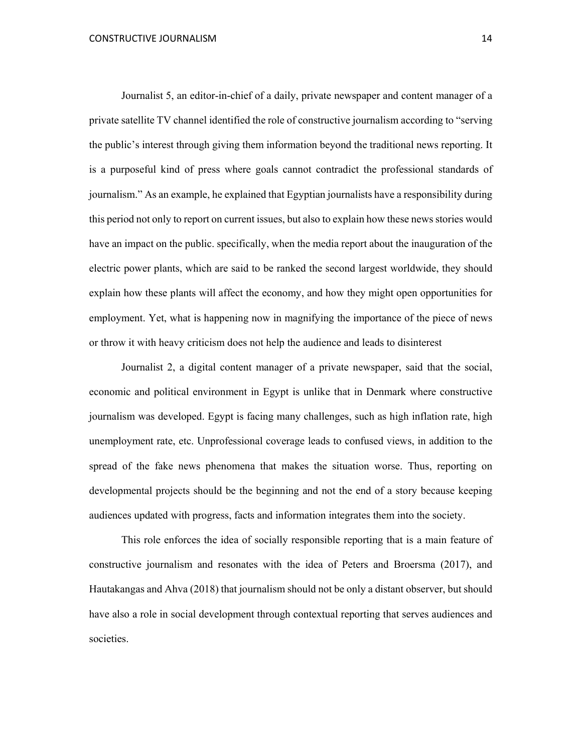Journalist 5, an editor-in-chief of a daily, private newspaper and content manager of a private satellite TV channel identified the role of constructive journalism according to "serving the public's interest through giving them information beyond the traditional news reporting. It is a purposeful kind of press where goals cannot contradict the professional standards of journalism." As an example, he explained that Egyptian journalists have a responsibility during this period not only to report on current issues, but also to explain how these news stories would have an impact on the public. specifically, when the media report about the inauguration of the electric power plants, which are said to be ranked the second largest worldwide, they should explain how these plants will affect the economy, and how they might open opportunities for employment. Yet, what is happening now in magnifying the importance of the piece of news or throw it with heavy criticism does not help the audience and leads to disinterest

Journalist 2, a digital content manager of a private newspaper, said that the social, economic and political environment in Egypt is unlike that in Denmark where constructive journalism was developed. Egypt is facing many challenges, such as high inflation rate, high unemployment rate, etc. Unprofessional coverage leads to confused views, in addition to the spread of the fake news phenomena that makes the situation worse. Thus, reporting on developmental projects should be the beginning and not the end of a story because keeping audiences updated with progress, facts and information integrates them into the society.

This role enforces the idea of socially responsible reporting that is a main feature of constructive journalism and resonates with the idea of Peters and Broersma (2017), and Hautakangas and Ahva (2018) that journalism should not be only a distant observer, but should have also a role in social development through contextual reporting that serves audiences and societies.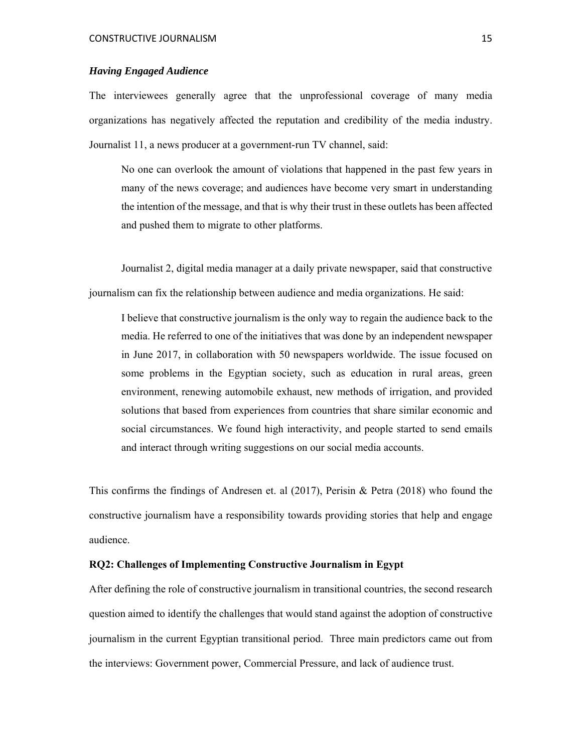#### *Having Engaged Audience*

The interviewees generally agree that the unprofessional coverage of many media organizations has negatively affected the reputation and credibility of the media industry. Journalist 11, a news producer at a government-run TV channel, said:

No one can overlook the amount of violations that happened in the past few years in many of the news coverage; and audiences have become very smart in understanding the intention of the message, and that is why their trust in these outlets has been affected and pushed them to migrate to other platforms.

Journalist 2, digital media manager at a daily private newspaper, said that constructive journalism can fix the relationship between audience and media organizations. He said:

I believe that constructive journalism is the only way to regain the audience back to the media. He referred to one of the initiatives that was done by an independent newspaper in June 2017, in collaboration with 50 newspapers worldwide. The issue focused on some problems in the Egyptian society, such as education in rural areas, green environment, renewing automobile exhaust, new methods of irrigation, and provided solutions that based from experiences from countries that share similar economic and social circumstances. We found high interactivity, and people started to send emails and interact through writing suggestions on our social media accounts.

This confirms the findings of Andresen et. al  $(2017)$ , Perisin & Petra  $(2018)$  who found the constructive journalism have a responsibility towards providing stories that help and engage audience.

# **RQ2: Challenges of Implementing Constructive Journalism in Egypt**

After defining the role of constructive journalism in transitional countries, the second research question aimed to identify the challenges that would stand against the adoption of constructive journalism in the current Egyptian transitional period. Three main predictors came out from the interviews: Government power, Commercial Pressure, and lack of audience trust.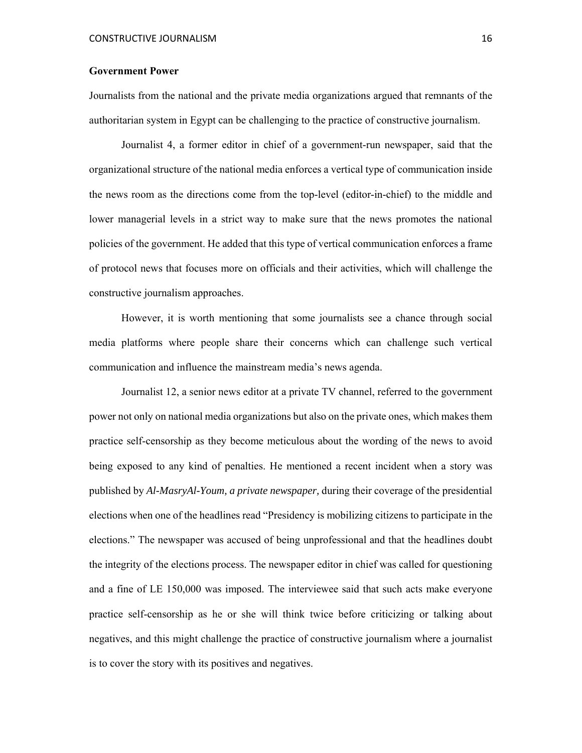#### **Government Power**

Journalists from the national and the private media organizations argued that remnants of the authoritarian system in Egypt can be challenging to the practice of constructive journalism.

Journalist 4, a former editor in chief of a government-run newspaper, said that the organizational structure of the national media enforces a vertical type of communication inside the news room as the directions come from the top-level (editor-in-chief) to the middle and lower managerial levels in a strict way to make sure that the news promotes the national policies of the government. He added that this type of vertical communication enforces a frame of protocol news that focuses more on officials and their activities, which will challenge the constructive journalism approaches.

However, it is worth mentioning that some journalists see a chance through social media platforms where people share their concerns which can challenge such vertical communication and influence the mainstream media's news agenda.

Journalist 12, a senior news editor at a private TV channel, referred to the government power not only on national media organizations but also on the private ones, which makes them practice self-censorship as they become meticulous about the wording of the news to avoid being exposed to any kind of penalties. He mentioned a recent incident when a story was published by *Al-MasryAl-Youm, a private newspaper,* during their coverage of the presidential elections when one of the headlines read "Presidency is mobilizing citizens to participate in the elections." The newspaper was accused of being unprofessional and that the headlines doubt the integrity of the elections process. The newspaper editor in chief was called for questioning and a fine of LE 150,000 was imposed. The interviewee said that such acts make everyone practice self-censorship as he or she will think twice before criticizing or talking about negatives, and this might challenge the practice of constructive journalism where a journalist is to cover the story with its positives and negatives.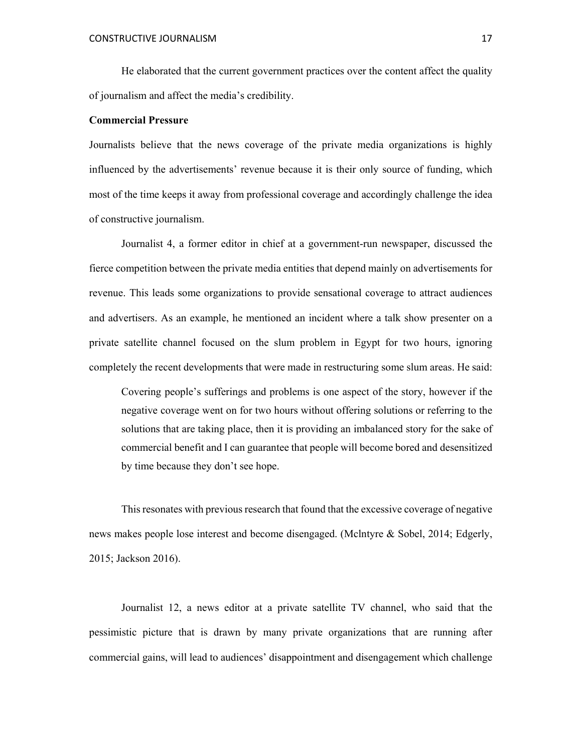He elaborated that the current government practices over the content affect the quality of journalism and affect the media's credibility.

# **Commercial Pressure**

Journalists believe that the news coverage of the private media organizations is highly influenced by the advertisements' revenue because it is their only source of funding, which most of the time keeps it away from professional coverage and accordingly challenge the idea of constructive journalism.

Journalist 4, a former editor in chief at a government-run newspaper, discussed the fierce competition between the private media entities that depend mainly on advertisements for revenue. This leads some organizations to provide sensational coverage to attract audiences and advertisers. As an example, he mentioned an incident where a talk show presenter on a private satellite channel focused on the slum problem in Egypt for two hours, ignoring completely the recent developments that were made in restructuring some slum areas. He said:

Covering people's sufferings and problems is one aspect of the story, however if the negative coverage went on for two hours without offering solutions or referring to the solutions that are taking place, then it is providing an imbalanced story for the sake of commercial benefit and I can guarantee that people will become bored and desensitized by time because they don't see hope.

This resonates with previous research that found that the excessive coverage of negative news makes people lose interest and become disengaged. (Mclntyre & Sobel, 2014; Edgerly, 2015; Jackson 2016).

 Journalist 12, a news editor at a private satellite TV channel, who said that the pessimistic picture that is drawn by many private organizations that are running after commercial gains, will lead to audiences' disappointment and disengagement which challenge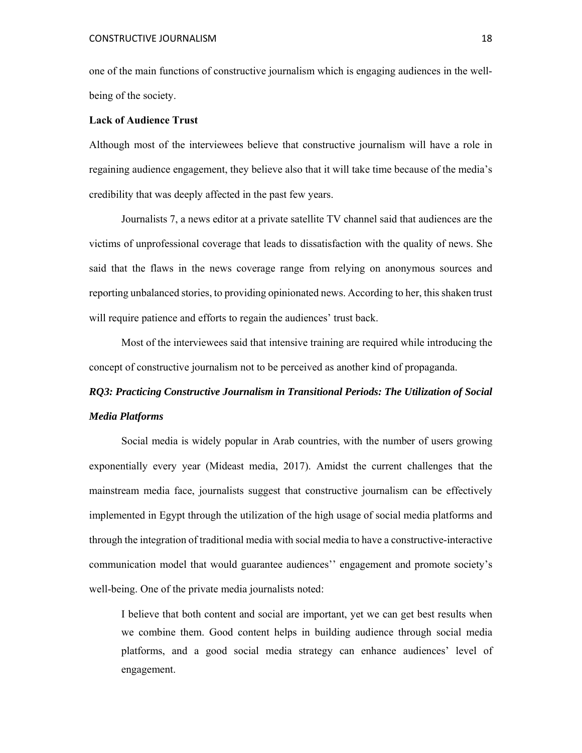one of the main functions of constructive journalism which is engaging audiences in the wellbeing of the society.

# **Lack of Audience Trust**

Although most of the interviewees believe that constructive journalism will have a role in regaining audience engagement, they believe also that it will take time because of the media's credibility that was deeply affected in the past few years.

Journalists 7, a news editor at a private satellite TV channel said that audiences are the victims of unprofessional coverage that leads to dissatisfaction with the quality of news. She said that the flaws in the news coverage range from relying on anonymous sources and reporting unbalanced stories, to providing opinionated news. According to her, this shaken trust will require patience and efforts to regain the audiences' trust back.

Most of the interviewees said that intensive training are required while introducing the concept of constructive journalism not to be perceived as another kind of propaganda.

# *RQ3: Practicing Constructive Journalism in Transitional Periods: The Utilization of Social Media Platforms*

Social media is widely popular in Arab countries, with the number of users growing exponentially every year (Mideast media, 2017). Amidst the current challenges that the mainstream media face, journalists suggest that constructive journalism can be effectively implemented in Egypt through the utilization of the high usage of social media platforms and through the integration of traditional media with social media to have a constructive-interactive communication model that would guarantee audiences'' engagement and promote society's well-being. One of the private media journalists noted:

I believe that both content and social are important, yet we can get best results when we combine them. Good content helps in building audience through social media platforms, and a good social media strategy can enhance audiences' level of engagement.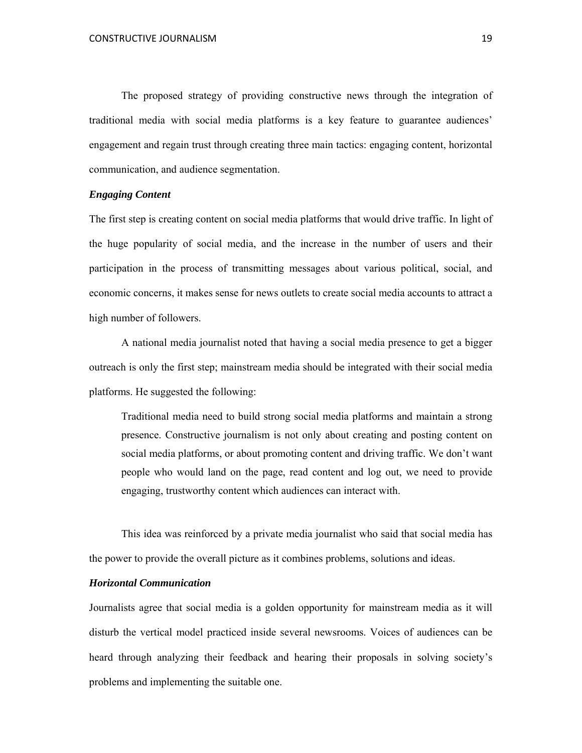The proposed strategy of providing constructive news through the integration of traditional media with social media platforms is a key feature to guarantee audiences' engagement and regain trust through creating three main tactics: engaging content, horizontal communication, and audience segmentation.

#### *Engaging Content*

The first step is creating content on social media platforms that would drive traffic. In light of the huge popularity of social media, and the increase in the number of users and their participation in the process of transmitting messages about various political, social, and economic concerns, it makes sense for news outlets to create social media accounts to attract a high number of followers.

A national media journalist noted that having a social media presence to get a bigger outreach is only the first step; mainstream media should be integrated with their social media platforms. He suggested the following:

Traditional media need to build strong social media platforms and maintain a strong presence. Constructive journalism is not only about creating and posting content on social media platforms, or about promoting content and driving traffic. We don't want people who would land on the page, read content and log out, we need to provide engaging, trustworthy content which audiences can interact with.

This idea was reinforced by a private media journalist who said that social media has the power to provide the overall picture as it combines problems, solutions and ideas.

# *Horizontal Communication*

Journalists agree that social media is a golden opportunity for mainstream media as it will disturb the vertical model practiced inside several newsrooms. Voices of audiences can be heard through analyzing their feedback and hearing their proposals in solving society's problems and implementing the suitable one.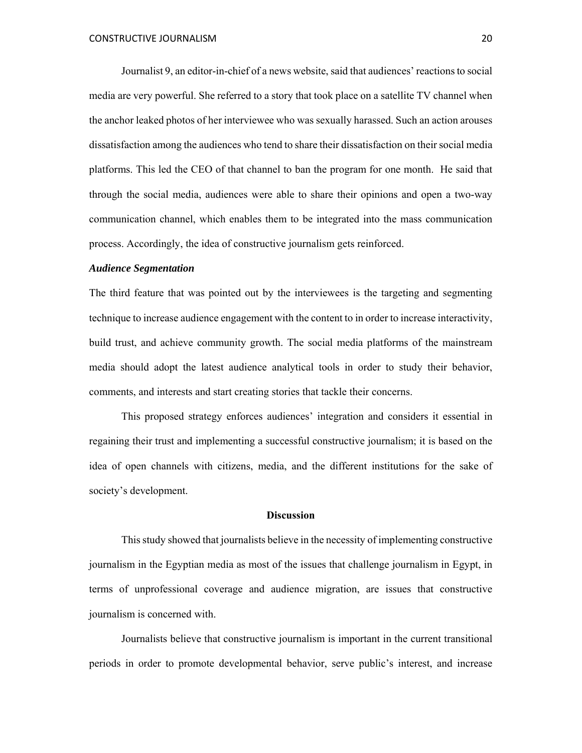Journalist 9, an editor-in-chief of a news website, said that audiences' reactions to social media are very powerful. She referred to a story that took place on a satellite TV channel when the anchor leaked photos of her interviewee who was sexually harassed. Such an action arouses dissatisfaction among the audiences who tend to share their dissatisfaction on their social media platforms. This led the CEO of that channel to ban the program for one month. He said that through the social media, audiences were able to share their opinions and open a two-way communication channel, which enables them to be integrated into the mass communication process. Accordingly, the idea of constructive journalism gets reinforced.

#### *Audience Segmentation*

The third feature that was pointed out by the interviewees is the targeting and segmenting technique to increase audience engagement with the content to in order to increase interactivity, build trust, and achieve community growth. The social media platforms of the mainstream media should adopt the latest audience analytical tools in order to study their behavior, comments, and interests and start creating stories that tackle their concerns.

This proposed strategy enforces audiences' integration and considers it essential in regaining their trust and implementing a successful constructive journalism; it is based on the idea of open channels with citizens, media, and the different institutions for the sake of society's development.

#### **Discussion**

This study showed that journalists believe in the necessity of implementing constructive journalism in the Egyptian media as most of the issues that challenge journalism in Egypt, in terms of unprofessional coverage and audience migration, are issues that constructive journalism is concerned with.

Journalists believe that constructive journalism is important in the current transitional periods in order to promote developmental behavior, serve public's interest, and increase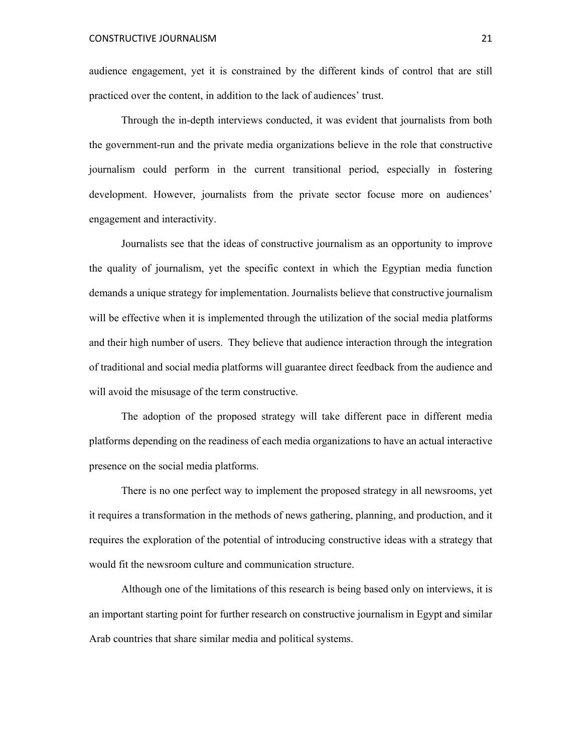audience engagement, yet it is constrained by the different kinds of control that are still practiced over the content, in addition to the lack of audiences' trust.

Through the in-depth interviews conducted, it was evident that journalists from both the government-run and the private media organizations believe in the role that constructive journalism could perform in the current transitional period, especially in fostering development. However, journalists from the private sector focuse more on audiences' engagement and interactivity.

Journalists see that the ideas of constructive journalism as an opportunity to improve the quality of journalism, yet the specific context in which the Egyptian media function demands a unique strategy for implementation. Journalists believe that constructive journalism will be effective when it is implemented through the utilization of the social media platforms and their high number of users. They believe that audience interaction through the integration of traditional and social media platforms will guarantee direct feedback from the audience and will avoid the misusage of the term constructive.

 The adoption of the proposed strategy will take different pace in different media platforms depending on the readiness of each media organizations to have an actual interactive presence on the social media platforms.

There is no one perfect way to implement the proposed strategy in all newsrooms, yet it requires a transformation in the methods of news gathering, planning, and production, and it requires the exploration of the potential of introducing constructive ideas with a strategy that would fit the newsroom culture and communication structure.

Although one of the limitations of this research is being based only on interviews, it is an important starting point for further research on constructive journalism in Egypt and similar Arab countries that share similar media and political systems.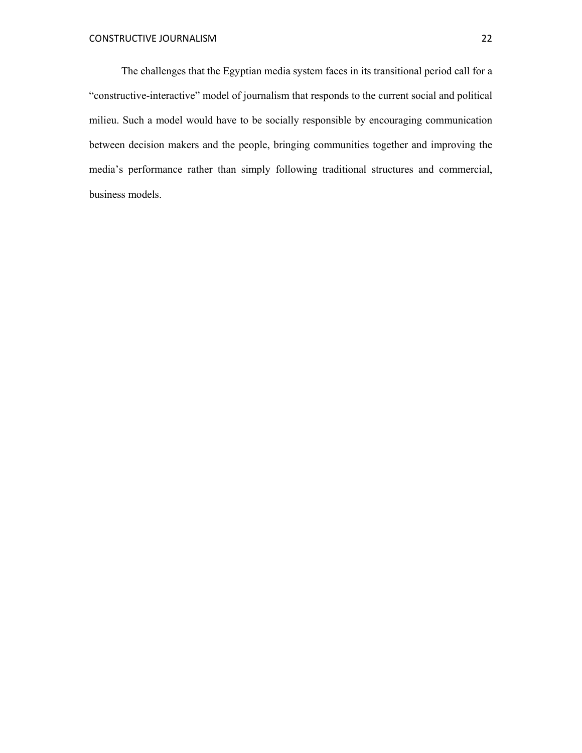The challenges that the Egyptian media system faces in its transitional period call for a "constructive-interactive" model of journalism that responds to the current social and political milieu. Such a model would have to be socially responsible by encouraging communication between decision makers and the people, bringing communities together and improving the media's performance rather than simply following traditional structures and commercial, business models.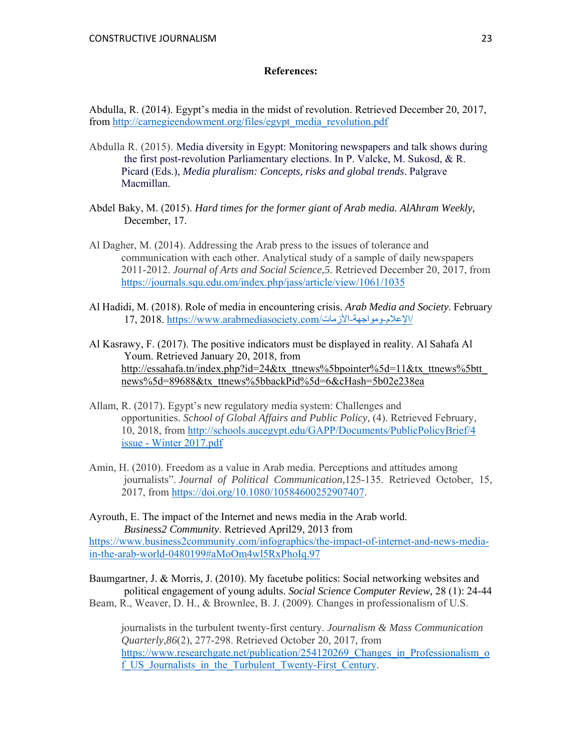#### **References:**

Abdulla, R. (2014). Egypt's media in the midst of revolution. Retrieved December 20, 2017, from http://carnegieendowment.org/files/egypt\_media\_revolution.pdf

- Abdulla R. (2015). Media diversity in Egypt: Monitoring newspapers and talk shows during the first post-revolution Parliamentary elections. In P. Valcke, M. Sukosd, & R. Picard (Eds.), *Media pluralism: Concepts, risks and global trends*. Palgrave Macmillan.
- Abdel Baky, M. (2015). *Hard times for the former giant of Arab media. AlAhram Weekly,*  December, 17.
- Al Dagher, M. (2014). Addressing the Arab press to the issues of tolerance and communication with each other. Analytical study of a sample of daily newspapers 2011-2012. *Journal of Arts and Social Science,5*. Retrieved December 20, 2017, from https://journals.squ.edu.om/index.php/jass/article/view/1061/1035
- Al Hadidi, M. (2018). Role of media in encountering crisis. *Arab Media and Society*. February 17, 2018. https://www.arabmediasociety.com/الأزمات-ومواجهة-الإعلام/
- Al Kasrawy, F. (2017). The positive indicators must be displayed in reality. Al Sahafa Al Youm. Retrieved January 20, 2018, from http://essahafa.tn/index.php?id=24&tx\_ttnews%5bpointer%5d=11&tx\_ttnews%5btt news%5d=89688&tx\_ttnews%5bbackPid%5d=6&cHash=5b02e238ea
- Allam, R. (2017). Egypt's new regulatory media system: Challenges and opportunities. *School of Global Affairs and Public Policy,* (4). Retrieved February, 10, 2018, from http://schools.aucegypt.edu/GAPP/Documents/PublicPolicyBrief/4 issue - Winter 2017.pdf
- Amin, H. (2010). Freedom as a value in Arab media. Perceptions and attitudes among journalists". *Journal of Political Communication,*125-135. Retrieved October, 15, 2017, from https://doi.org/10.1080/10584600252907407.

Ayrouth, E. The impact of the Internet and news media in the Arab world. *Business2 Community*. Retrieved April29, 2013 from https://www.business2community.com/infographics/the-impact-of-internet-and-news-mediain-the-arab-world-0480199#aMoOm4wl5RxPhoIq.97

Baumgartner, J. & Morris, J. (2010). My facetube politics: Social networking websites and political engagement of young adults. *Social Science Computer Review*, 28 (1): 24-44 Beam, R., Weaver, D. H., & Brownlee, B. J. (2009). Changes in professionalism of U.S.

journalists in the turbulent twenty-first century. *Journalism & Mass Communication Quarterly,86*(2), 277-298. Retrieved October 20, 2017, from https://www.researchgate.net/publication/254120269 Changes in Professionalism o f US Journalists in the Turbulent Twenty-First Century.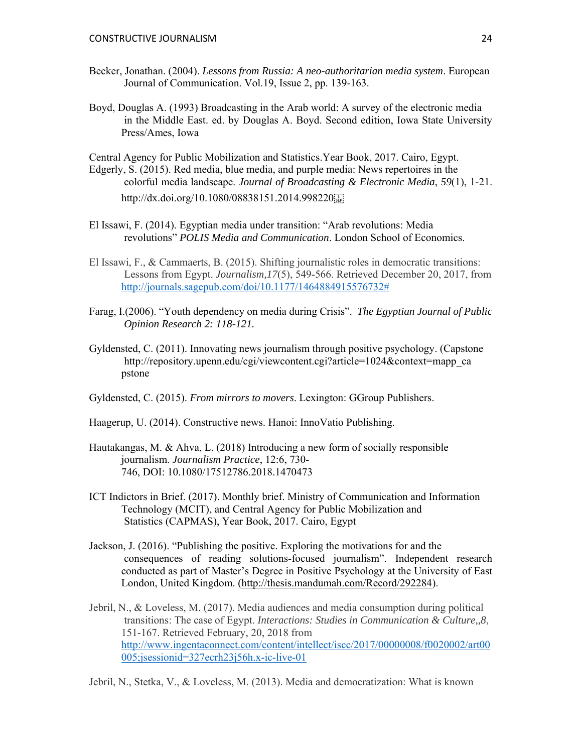- Becker, Jonathan. (2004). *Lessons from Russia: A neo-authoritarian media system*. European Journal of Communication. Vol.19, Issue 2, pp. 139-163.
- Boyd, Douglas A. (1993) Broadcasting in the Arab world: A survey of the electronic media in the Middle East. ed. by Douglas A. Boyd. Second edition, Iowa State University Press/Ames, Iowa

Central Agency for Public Mobilization and Statistics.Year Book, 2017. Cairo, Egypt.

Edgerly, S. (2015). Red media, blue media, and purple media: News repertoires in the colorful media landscape. *Journal of Broadcasting & Electronic Media*, *59*(1), 1-21. http://dx.doi.org/10.1080/08838151.2014.998220

- El Issawi, F. (2014). Egyptian media under transition: "Arab revolutions: Media revolutions" *POLIS Media and Communication*. London School of Economics.
- El Issawi, F., & Cammaerts, B. (2015). Shifting journalistic roles in democratic transitions: Lessons from Egypt. *Journalism,17*(5), 549-566. Retrieved December 20, 2017, from http://journals.sagepub.com/doi/10.1177/1464884915576732#
- Farag, I.(2006). "Youth dependency on media during Crisis". *The Egyptian Journal of Public Opinion Research 2: 118-121.*
- Gyldensted, C. (2011). Innovating news journalism through positive psychology. (Capstone http://repository.upenn.edu/cgi/viewcontent.cgi?article=1024&context=mapp\_ca pstone

Gyldensted, C. (2015). *From mirrors to movers*. Lexington: GGroup Publishers.

- Haagerup, U. (2014). Constructive news. Hanoi: InnoVatio Publishing.
- Hautakangas, M. & Ahva, L. (2018) Introducing a new form of socially responsible journalism. *Journalism Practice*, 12:6, 730- 746, DOI: 10.1080/17512786.2018.1470473
- ICT Indictors in Brief. (2017). Monthly brief. Ministry of Communication and Information Technology (MCIT), and Central Agency for Public Mobilization and Statistics (CAPMAS), Year Book, 2017. Cairo, Egypt
- Jackson, J. (2016). "Publishing the positive. Exploring the motivations for and the consequences of reading solutions-focused journalism". Independent research conducted as part of Master's Degree in Positive Psychology at the University of East London, United Kingdom. (http://thesis.mandumah.com/Record/292284).
- Jebril, N., & Loveless, M. (2017). Media audiences and media consumption during political transitions: The case of Egypt. *Interactions: Studies in Communication & Culture,,8*, 151-167. Retrieved February, 20, 2018 from http://www.ingentaconnect.com/content/intellect/iscc/2017/00000008/f0020002/art00 005;jsessionid=327ecrh23j56h.x-ic-live-01

Jebril, N., Stetka, V., & Loveless, M. (2013). Media and democratization: What is known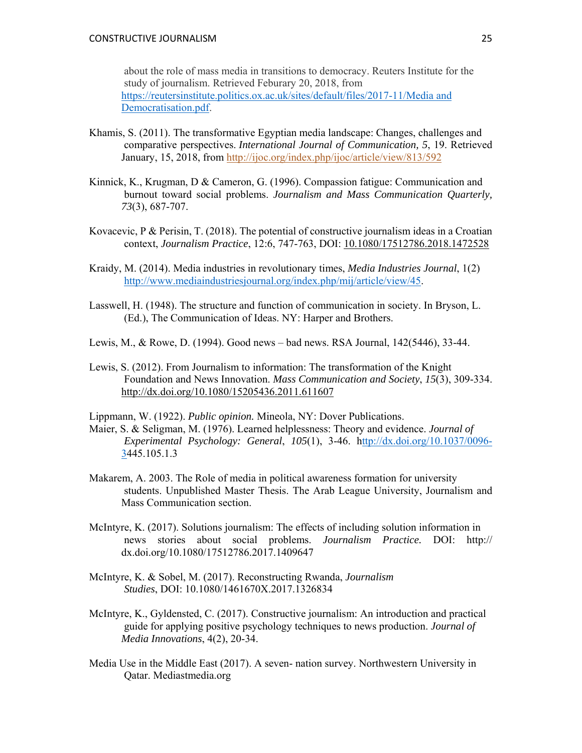about the role of mass media in transitions to democracy. Reuters Institute for the study of journalism. Retrieved Feburary 20, 2018, from https://reutersinstitute.politics.ox.ac.uk/sites/default/files/2017-11/Media and Democratisation.pdf.

- Khamis, S. (2011). The transformative Egyptian media landscape: Changes, challenges and comparative perspectives. *International Journal of Communication, 5*, 19. Retrieved January, 15, 2018, from http://ijoc.org/index.php/ijoc/article/view/813/592
- Kinnick, K., Krugman, D & Cameron, G. (1996). Compassion fatigue: Communication and burnout toward social problems. *Journalism and Mass Communication Quarterly, 73*(3), 687-707.
- Kovacevic, P & Perisin, T. (2018). The potential of constructive journalism ideas in a Croatian context, *Journalism Practice*, 12:6, 747-763, DOI: 10.1080/17512786.2018.1472528
- Kraidy, M. (2014). Media industries in revolutionary times, *Media Industries Journal*, 1(2) http://www.mediaindustriesjournal.org/index.php/mij/article/view/45.
- Lasswell, H. (1948). The structure and function of communication in society. In Bryson, L. (Ed.), The Communication of Ideas. NY: Harper and Brothers.
- Lewis, M., & Rowe, D. (1994). Good news bad news. RSA Journal, 142(5446), 33-44.
- Lewis, S. (2012). From Journalism to information: The transformation of the Knight Foundation and News Innovation. *Mass Communication and Society*, *15*(3), 309-334. http://dx.doi.org/10.1080/15205436.2011.611607

Lippmann, W. (1922). *Public opinion.* Mineola, NY: Dover Publications.

- Maier, S. & Seligman, M. (1976). Learned helplessness: Theory and evidence. *Journal of Experimental Psychology: General*, *105*(1), 3-46. http://dx.doi.org/10.1037/0096- 3445.105.1.3
- Makarem, A. 2003. The Role of media in political awareness formation for university students. Unpublished Master Thesis. The Arab League University, Journalism and Mass Communication section.
- McIntyre, K. (2017). Solutions journalism: The effects of including solution information in news stories about social problems. *Journalism Practice.* DOI: http:// dx.doi.org/10.1080/17512786.2017.1409647
- McIntyre, K. & Sobel, M. (2017). Reconstructing Rwanda, *Journalism Studies*, DOI: 10.1080/1461670X.2017.1326834
- McIntyre, K., Gyldensted, C. (2017). Constructive journalism: An introduction and practical guide for applying positive psychology techniques to news production. *Journal of Media Innovations*, 4(2), 20-34.
- Media Use in the Middle East (2017). A seven- nation survey. Northwestern University in Qatar. Mediastmedia.org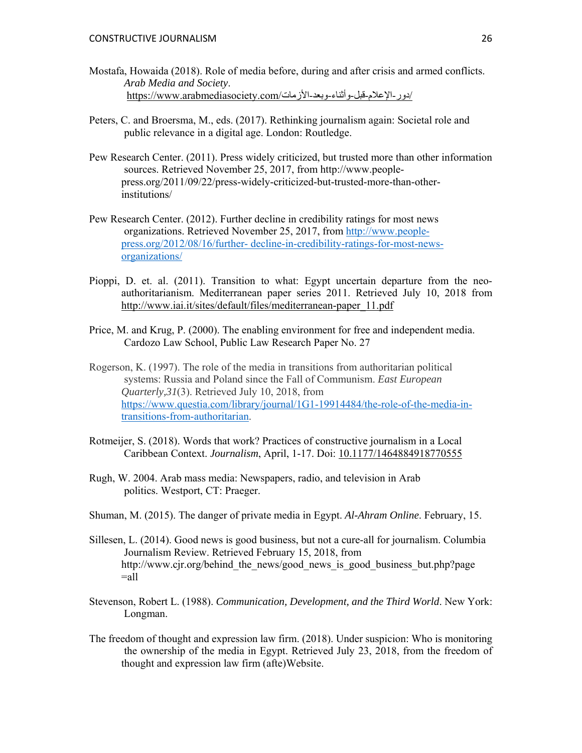- Mostafa, Howaida (2018). Role of media before, during and after crisis and armed conflicts. *Arab Media and Society*. /دور-الإعلام-قبل-وأثناء-وبعد-الأزمات/com.arabmediasociety.www://https
- Peters, C. and Broersma, M., eds. (2017). Rethinking journalism again: Societal role and public relevance in a digital age. London: Routledge.
- Pew Research Center. (2011). Press widely criticized, but trusted more than other information sources. Retrieved November 25, 2017, from http://www.peoplepress.org/2011/09/22/press-widely-criticized-but-trusted-more-than-otherinstitutions/
- Pew Research Center. (2012). Further decline in credibility ratings for most news organizations. Retrieved November 25, 2017, from http://www.peoplepress.org/2012/08/16/further- decline-in-credibility-ratings-for-most-newsorganizations/
- Pioppi, D. et. al. (2011). Transition to what: Egypt uncertain departure from the neoauthoritarianism. Mediterranean paper series 2011. Retrieved July 10, 2018 from http://www.iai.it/sites/default/files/mediterranean-paper\_11.pdf
- Price, M. and Krug, P. (2000). The enabling environment for free and independent media. Cardozo Law School, Public Law Research Paper No. 27
- Rogerson, K. (1997). The role of the media in transitions from authoritarian political systems: Russia and Poland since the Fall of Communism. *East European Quarterly,31*(3). Retrieved July 10, 2018, from https://www.questia.com/library/journal/1G1-19914484/the-role-of-the-media-intransitions-from-authoritarian.
- Rotmeijer, S. (2018). Words that work? Practices of constructive journalism in a Local Caribbean Context. *Journalism*, April, 1-17. Doi: 10.1177/1464884918770555
- Rugh, W. 2004. Arab mass media: Newspapers, radio, and television in Arab politics. Westport, CT: Praeger.
- Shuman, M. (2015). The danger of private media in Egypt. *Al-Ahram Online*. February, 15.
- Sillesen, L. (2014). Good news is good business, but not a cure-all for journalism. Columbia Journalism Review. Retrieved February 15, 2018, from http://www.cjr.org/behind\_the\_news/good\_news\_is\_good\_business\_but.php?page  $=$ all
- Stevenson, Robert L. (1988). *Communication, Development, and the Third World*. New York: Longman.
- The freedom of thought and expression law firm. (2018). Under suspicion: Who is monitoring the ownership of the media in Egypt. Retrieved July 23, 2018, from the freedom of thought and expression law firm (afte)Website.